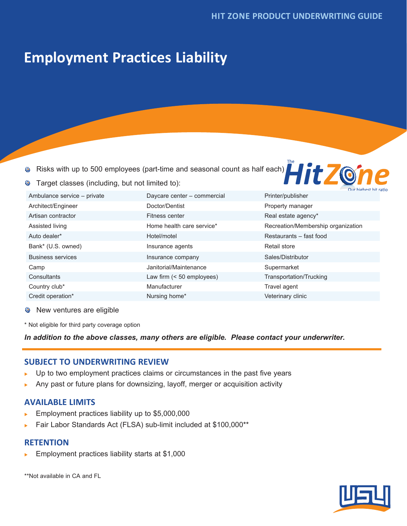# **Employment Practices Liability**

Target classes (including, but not limited to):

 $\bullet$ Risks with up to 500 employees (part-time and seasonal count as half each)



|                             |                              | Tun menesi milita                  |
|-----------------------------|------------------------------|------------------------------------|
| Ambulance service - private | Daycare center - commercial  | Printer/publisher                  |
| Architect/Engineer          | Doctor/Dentist               | Property manager                   |
| Artisan contractor          | Fitness center               | Real estate agency*                |
| Assisted living             | Home health care service*    | Recreation/Membership organization |
| Auto dealer*                | Hotel/motel                  | Restaurants - fast food            |
| Bank* (U.S. owned)          | Insurance agents             | Retail store                       |
| <b>Business services</b>    | Insurance company            | Sales/Distributor                  |
| Camp                        | Janitorial/Maintenance       | Supermarket                        |
| Consultants                 | Law firm $($ < 50 employees) | Transportation/Trucking            |
| Country club*               | Manufacturer                 | Travel agent                       |
| Credit operation*           | Nursing home*                | Veterinary clinic                  |

**Wew ventures are eligible** 

 $\bullet$ 

\* Not eligible for third party coverage option

*In addition to the above classes, many others are eligible. Please contact your underwriter.*

## **SUBJECT TO UNDERWRITING REVIEW**

- Up to two employment practices claims or circumstances in the past five years
- Any past or future plans for downsizing, layoff, merger or acquisition activity

## **AVAILABLE LIMITS**

- Employment practices liability up to \$5,000,000
- Fair Labor Standards Act (FLSA) sub-limit included at \$100,000\*\*

#### **RETENTION**

Employment practices liability starts at \$1,000

\*\*Not available in CA and FL